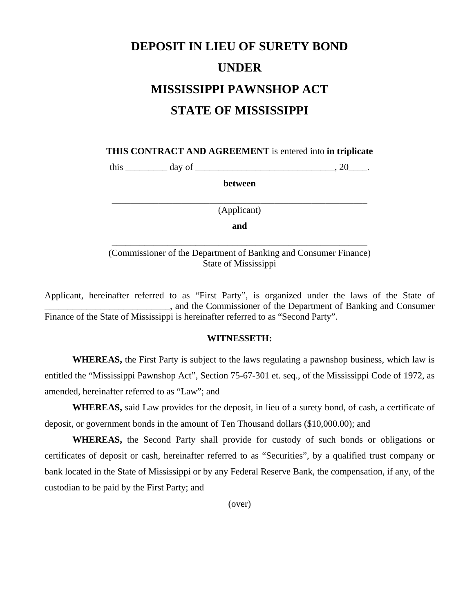## **DEPOSIT IN LIEU OF SURETY BOND UNDER MISSISSIPPI PAWNSHOP ACT STATE OF MISSISSIPPI**

**THIS CONTRACT AND AGREEMENT** is entered into **in triplicate** 

this \_\_\_\_\_\_\_\_\_ day of \_\_\_\_\_\_\_\_\_\_\_\_\_\_\_\_\_\_\_\_\_\_\_\_\_\_\_\_\_\_, 20\_\_\_\_.

**between** 

\_\_\_\_\_\_\_\_\_\_\_\_\_\_\_\_\_\_\_\_\_\_\_\_\_\_\_\_\_\_\_\_\_\_\_\_\_\_\_\_\_\_\_\_\_\_\_\_\_\_\_\_\_\_\_ (Applicant)

**and**

(Commissioner of the Department of Banking and Consumer Finance) State of Mississippi

\_\_\_\_\_\_\_\_\_\_\_\_\_\_\_\_\_\_\_\_\_\_\_\_\_\_\_\_\_\_\_\_\_\_\_\_\_\_\_\_\_\_\_\_\_\_\_\_\_\_\_\_\_\_\_

Applicant, hereinafter referred to as "First Party", is organized under the laws of the State of \_\_\_\_\_\_\_\_\_\_\_\_\_\_\_\_\_\_\_\_\_\_\_\_\_\_\_, and the Commissioner of the Department of Banking and Consumer Finance of the State of Mississippi is hereinafter referred to as "Second Party".

## **WITNESSETH:**

**WHEREAS,** the First Party is subject to the laws regulating a pawnshop business, which law is entitled the "Mississippi Pawnshop Act", Section 75-67-301 et. seq., of the Mississippi Code of 1972, as amended, hereinafter referred to as "Law"; and

**WHEREAS,** said Law provides for the deposit, in lieu of a surety bond, of cash, a certificate of deposit, or government bonds in the amount of Ten Thousand dollars (\$10,000.00); and

**WHEREAS,** the Second Party shall provide for custody of such bonds or obligations or certificates of deposit or cash, hereinafter referred to as "Securities", by a qualified trust company or bank located in the State of Mississippi or by any Federal Reserve Bank, the compensation, if any, of the custodian to be paid by the First Party; and

(over)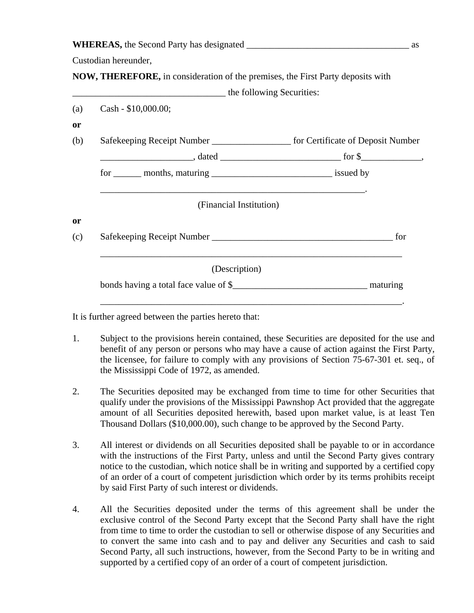| <b>WHEREAS, the Second Party has designated</b> |  |  |
|-------------------------------------------------|--|--|
|                                                 |  |  |

Custodian hereunder,

**NOW, THEREFORE,** in consideration of the premises, the First Party deposits with

|           | the following Securities:                                                            |     |  |  |  |
|-----------|--------------------------------------------------------------------------------------|-----|--|--|--|
| (a)       | Cash - $$10,000.00;$                                                                 |     |  |  |  |
| <b>or</b> |                                                                                      |     |  |  |  |
| (b)       | Safekeeping Receipt Number _______________________ for Certificate of Deposit Number |     |  |  |  |
|           |                                                                                      |     |  |  |  |
|           | for ________ months, maturing __________________________________ issued by           |     |  |  |  |
| <b>or</b> | (Financial Institution)                                                              |     |  |  |  |
| (c)       |                                                                                      | for |  |  |  |
|           | (Description)                                                                        |     |  |  |  |
|           |                                                                                      |     |  |  |  |

It is further agreed between the parties hereto that:

- 1. Subject to the provisions herein contained, these Securities are deposited for the use and benefit of any person or persons who may have a cause of action against the First Party, the licensee, for failure to comply with any provisions of Section 75-67-301 et. seq., of the Mississippi Code of 1972, as amended.
- 2. The Securities deposited may be exchanged from time to time for other Securities that qualify under the provisions of the Mississippi Pawnshop Act provided that the aggregate amount of all Securities deposited herewith, based upon market value, is at least Ten Thousand Dollars (\$10,000.00), such change to be approved by the Second Party.
- 3. All interest or dividends on all Securities deposited shall be payable to or in accordance with the instructions of the First Party, unless and until the Second Party gives contrary notice to the custodian, which notice shall be in writing and supported by a certified copy of an order of a court of competent jurisdiction which order by its terms prohibits receipt by said First Party of such interest or dividends.
- 4. All the Securities deposited under the terms of this agreement shall be under the exclusive control of the Second Party except that the Second Party shall have the right from time to time to order the custodian to sell or otherwise dispose of any Securities and to convert the same into cash and to pay and deliver any Securities and cash to said Second Party, all such instructions, however, from the Second Party to be in writing and supported by a certified copy of an order of a court of competent jurisdiction.